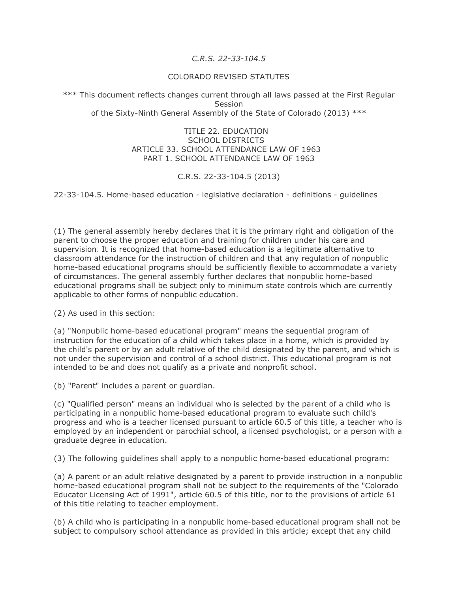## *C.R.S. 22-33-104.5*

## COLORADO REVISED STATUTES

\*\*\* This document reflects changes current through all laws passed at the First Regular Session of the Sixty-Ninth General Assembly of the State of Colorado (2013) \*\*\*

> TITLE 22. EDUCATION SCHOOL DISTRICTS ARTICLE 33. SCHOOL ATTENDANCE LAW OF 1963 PART 1. SCHOOL ATTENDANCE LAW OF 1963

## C.R.S. 22-33-104.5 (2013)

22-33-104.5. Home-based education - legislative declaration - definitions - guidelines

(1) The general assembly hereby declares that it is the primary right and obligation of the parent to choose the proper education and training for children under his care and supervision. It is recognized that home-based education is a legitimate alternative to classroom attendance for the instruction of children and that any regulation of nonpublic home-based educational programs should be sufficiently flexible to accommodate a variety of circumstances. The general assembly further declares that nonpublic home-based educational programs shall be subject only to minimum state controls which are currently applicable to other forms of nonpublic education.

(2) As used in this section:

(a) "Nonpublic home-based educational program" means the sequential program of instruction for the education of a child which takes place in a home, which is provided by the child's parent or by an adult relative of the child designated by the parent, and which is not under the supervision and control of a school district. This educational program is not intended to be and does not qualify as a private and nonprofit school.

(b) "Parent" includes a parent or guardian.

(c) "Qualified person" means an individual who is selected by the parent of a child who is participating in a nonpublic home-based educational program to evaluate such child's progress and who is a teacher licensed pursuant to article 60.5 of this title, a teacher who is employed by an independent or parochial school, a licensed psychologist, or a person with a graduate degree in education.

(3) The following guidelines shall apply to a nonpublic home-based educational program:

(a) A parent or an adult relative designated by a parent to provide instruction in a nonpublic home-based educational program shall not be subject to the requirements of the "Colorado Educator Licensing Act of 1991", article 60.5 of this title, nor to the provisions of article 61 of this title relating to teacher employment.

(b) A child who is participating in a nonpublic home-based educational program shall not be subject to compulsory school attendance as provided in this article; except that any child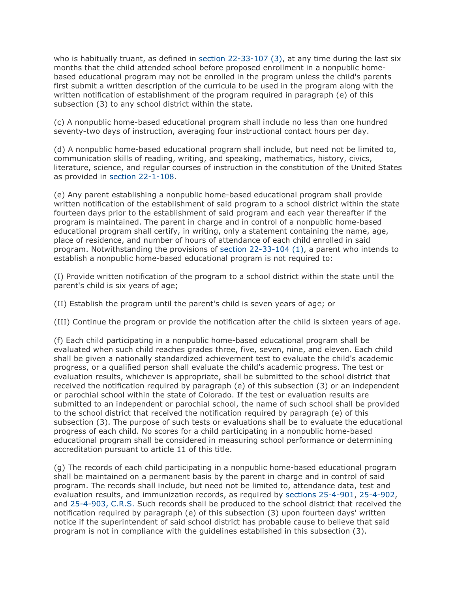who is habitually truant, as defined in section 22-33-107 (3), at any time during the last six months that the child attended school before proposed enrollment in a nonpublic homebased educational program may not be enrolled in the program unless the child's parents first submit a written description of the curricula to be used in the program along with the written notification of establishment of the program required in paragraph (e) of this subsection (3) to any school district within the state.

(c) A nonpublic home-based educational program shall include no less than one hundred seventy-two days of instruction, averaging four instructional contact hours per day.

(d) A nonpublic home-based educational program shall include, but need not be limited to, communication skills of reading, writing, and speaking, mathematics, history, civics, literature, science, and regular courses of instruction in the constitution of the United States as provided in section 22-1-108.

(e) Any parent establishing a nonpublic home-based educational program shall provide written notification of the establishment of said program to a school district within the state fourteen days prior to the establishment of said program and each year thereafter if the program is maintained. The parent in charge and in control of a nonpublic home-based educational program shall certify, in writing, only a statement containing the name, age, place of residence, and number of hours of attendance of each child enrolled in said program. Notwithstanding the provisions of section 22-33-104 (1), a parent who intends to establish a nonpublic home-based educational program is not required to:

(I) Provide written notification of the program to a school district within the state until the parent's child is six years of age;

(II) Establish the program until the parent's child is seven years of age; or

(III) Continue the program or provide the notification after the child is sixteen years of age.

(f) Each child participating in a nonpublic home-based educational program shall be evaluated when such child reaches grades three, five, seven, nine, and eleven. Each child shall be given a nationally standardized achievement test to evaluate the child's academic progress, or a qualified person shall evaluate the child's academic progress. The test or evaluation results, whichever is appropriate, shall be submitted to the school district that received the notification required by paragraph (e) of this subsection (3) or an independent or parochial school within the state of Colorado. If the test or evaluation results are submitted to an independent or parochial school, the name of such school shall be provided to the school district that received the notification required by paragraph (e) of this subsection (3). The purpose of such tests or evaluations shall be to evaluate the educational progress of each child. No scores for a child participating in a nonpublic home-based educational program shall be considered in measuring school performance or determining accreditation pursuant to article 11 of this title.

(g) The records of each child participating in a nonpublic home-based educational program shall be maintained on a permanent basis by the parent in charge and in control of said program. The records shall include, but need not be limited to, attendance data, test and evaluation results, and immunization records, as required by sections 25-4-901, 25-4-902, and 25-4-903, C.R.S. Such records shall be produced to the school district that received the notification required by paragraph (e) of this subsection (3) upon fourteen days' written notice if the superintendent of said school district has probable cause to believe that said program is not in compliance with the guidelines established in this subsection (3).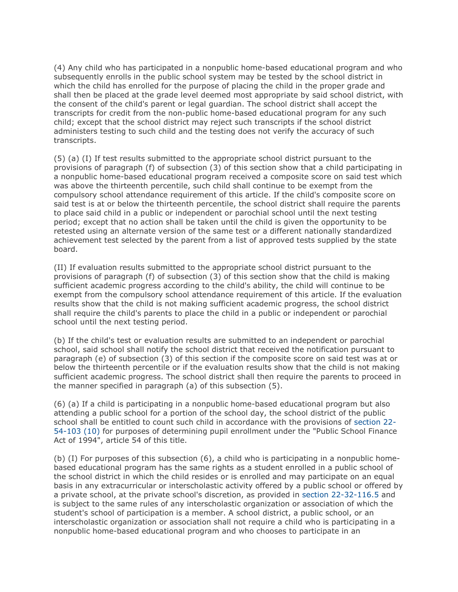(4) Any child who has participated in a nonpublic home-based educational program and who subsequently enrolls in the public school system may be tested by the school district in which the child has enrolled for the purpose of placing the child in the proper grade and shall then be placed at the grade level deemed most appropriate by said school district, with the consent of the child's parent or legal guardian. The school district shall accept the transcripts for credit from the non-public home-based educational program for any such child; except that the school district may reject such transcripts if the school district administers testing to such child and the testing does not verify the accuracy of such transcripts.

(5) (a) (I) If test results submitted to the appropriate school district pursuant to the provisions of paragraph (f) of subsection (3) of this section show that a child participating in a nonpublic home-based educational program received a composite score on said test which was above the thirteenth percentile, such child shall continue to be exempt from the compulsory school attendance requirement of this article. If the child's composite score on said test is at or below the thirteenth percentile, the school district shall require the parents to place said child in a public or independent or parochial school until the next testing period; except that no action shall be taken until the child is given the opportunity to be retested using an alternate version of the same test or a different nationally standardized achievement test selected by the parent from a list of approved tests supplied by the state board.

(II) If evaluation results submitted to the appropriate school district pursuant to the provisions of paragraph (f) of subsection (3) of this section show that the child is making sufficient academic progress according to the child's ability, the child will continue to be exempt from the compulsory school attendance requirement of this article. If the evaluation results show that the child is not making sufficient academic progress, the school district shall require the child's parents to place the child in a public or independent or parochial school until the next testing period.

(b) If the child's test or evaluation results are submitted to an independent or parochial school, said school shall notify the school district that received the notification pursuant to paragraph (e) of subsection (3) of this section if the composite score on said test was at or below the thirteenth percentile or if the evaluation results show that the child is not making sufficient academic progress. The school district shall then require the parents to proceed in the manner specified in paragraph (a) of this subsection (5).

(6) (a) If a child is participating in a nonpublic home-based educational program but also attending a public school for a portion of the school day, the school district of the public school shall be entitled to count such child in accordance with the provisions of section 22- 54-103 (10) for purposes of determining pupil enrollment under the "Public School Finance Act of 1994", article 54 of this title.

(b) (I) For purposes of this subsection (6), a child who is participating in a nonpublic homebased educational program has the same rights as a student enrolled in a public school of the school district in which the child resides or is enrolled and may participate on an equal basis in any extracurricular or interscholastic activity offered by a public school or offered by a private school, at the private school's discretion, as provided in section 22-32-116.5 and is subject to the same rules of any interscholastic organization or association of which the student's school of participation is a member. A school district, a public school, or an interscholastic organization or association shall not require a child who is participating in a nonpublic home-based educational program and who chooses to participate in an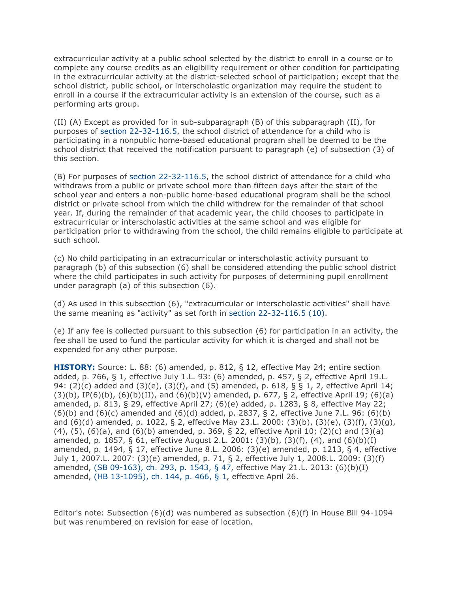extracurricular activity at a public school selected by the district to enroll in a course or to complete any course credits as an eligibility requirement or other condition for participating in the extracurricular activity at the district-selected school of participation; except that the school district, public school, or interscholastic organization may require the student to enroll in a course if the extracurricular activity is an extension of the course, such as a performing arts group.

(II) (A) Except as provided for in sub-subparagraph (B) of this subparagraph (II), for purposes of section 22-32-116.5, the school district of attendance for a child who is participating in a nonpublic home-based educational program shall be deemed to be the school district that received the notification pursuant to paragraph (e) of subsection (3) of this section.

(B) For purposes of section 22-32-116.5, the school district of attendance for a child who withdraws from a public or private school more than fifteen days after the start of the school year and enters a non-public home-based educational program shall be the school district or private school from which the child withdrew for the remainder of that school year. If, during the remainder of that academic year, the child chooses to participate in extracurricular or interscholastic activities at the same school and was eligible for participation prior to withdrawing from the school, the child remains eligible to participate at such school.

(c) No child participating in an extracurricular or interscholastic activity pursuant to paragraph (b) of this subsection (6) shall be considered attending the public school district where the child participates in such activity for purposes of determining pupil enrollment under paragraph (a) of this subsection (6).

(d) As used in this subsection (6), "extracurricular or interscholastic activities" shall have the same meaning as "activity" as set forth in section 22-32-116.5 (10).

(e) If any fee is collected pursuant to this subsection (6) for participation in an activity, the fee shall be used to fund the particular activity for which it is charged and shall not be expended for any other purpose.

**HISTORY:** Source: L. 88: (6) amended, p. 812, § 12, effective May 24; entire section added, p. 766, § 1, effective July 1.L. 93: (6) amended, p. 457, § 2, effective April 19.L. 94: (2)(c) added and (3)(e), (3)(f), and (5) amended, p. 618, § § 1, 2, effective April 14;  $(3)(b)$ , IP(6)(b),  $(6)(b)(II)$ , and  $(6)(b)(V)$  amended, p. 677, § 2, effective April 19; (6)(a) amended, p. 813, § 29, effective April 27; (6)(e) added, p. 1283, § 8, effective May 22;  $(6)(b)$  and  $(6)(c)$  amended and  $(6)(d)$  added, p. 2837, § 2, effective June 7.L. 96:  $(6)(b)$ and (6)(d) amended, p. 1022, § 2, effective May 23.L. 2000: (3)(b), (3)(e), (3)(f), (3)(g), (4), (5), (6)(a), and (6)(b) amended, p. 369, § 22, effective April 10; (2)(c) and (3)(a) amended, p. 1857, § 61, effective August 2.L. 2001: (3)(b), (3)(f), (4), and (6)(b)(I) amended, p. 1494, § 17, effective June 8.L. 2006: (3)(e) amended, p. 1213, § 4, effective July 1, 2007.L. 2007: (3)(e) amended, p. 71, § 2, effective July 1, 2008.L. 2009: (3)(f) amended, (SB 09-163), ch. 293, p. 1543, § 47, effective May 21.L. 2013: (6)(b)(I) amended, (HB 13-1095), ch. 144, p. 466, § 1, effective April 26.

Editor's note: Subsection  $(6)(d)$  was numbered as subsection  $(6)(f)$  in House Bill 94-1094 but was renumbered on revision for ease of location.